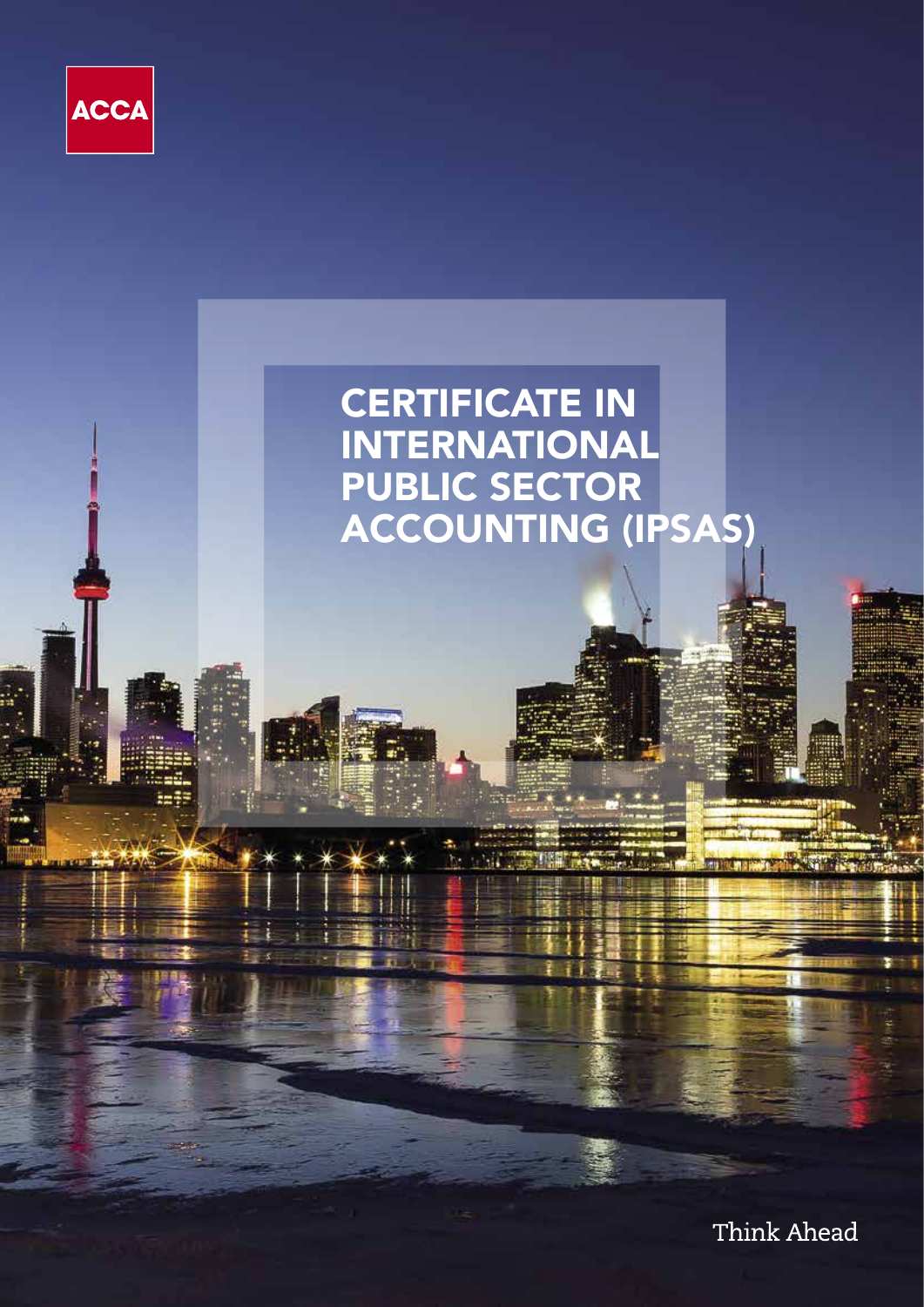

### CERTIFICATE IN INTERNATIONAL PUBLIC SECTOR ACCOUNTING (IPSAS)

Think Ahead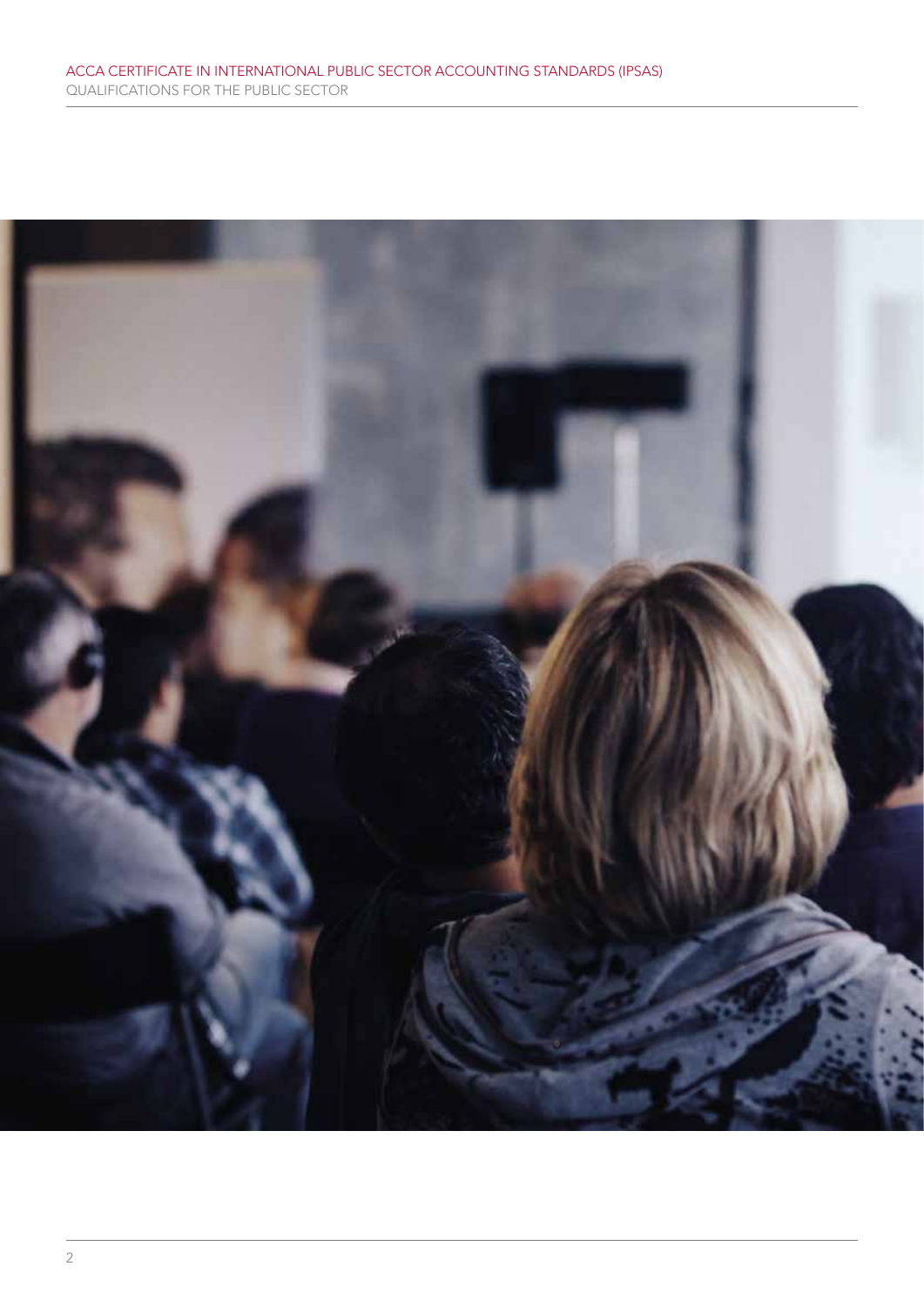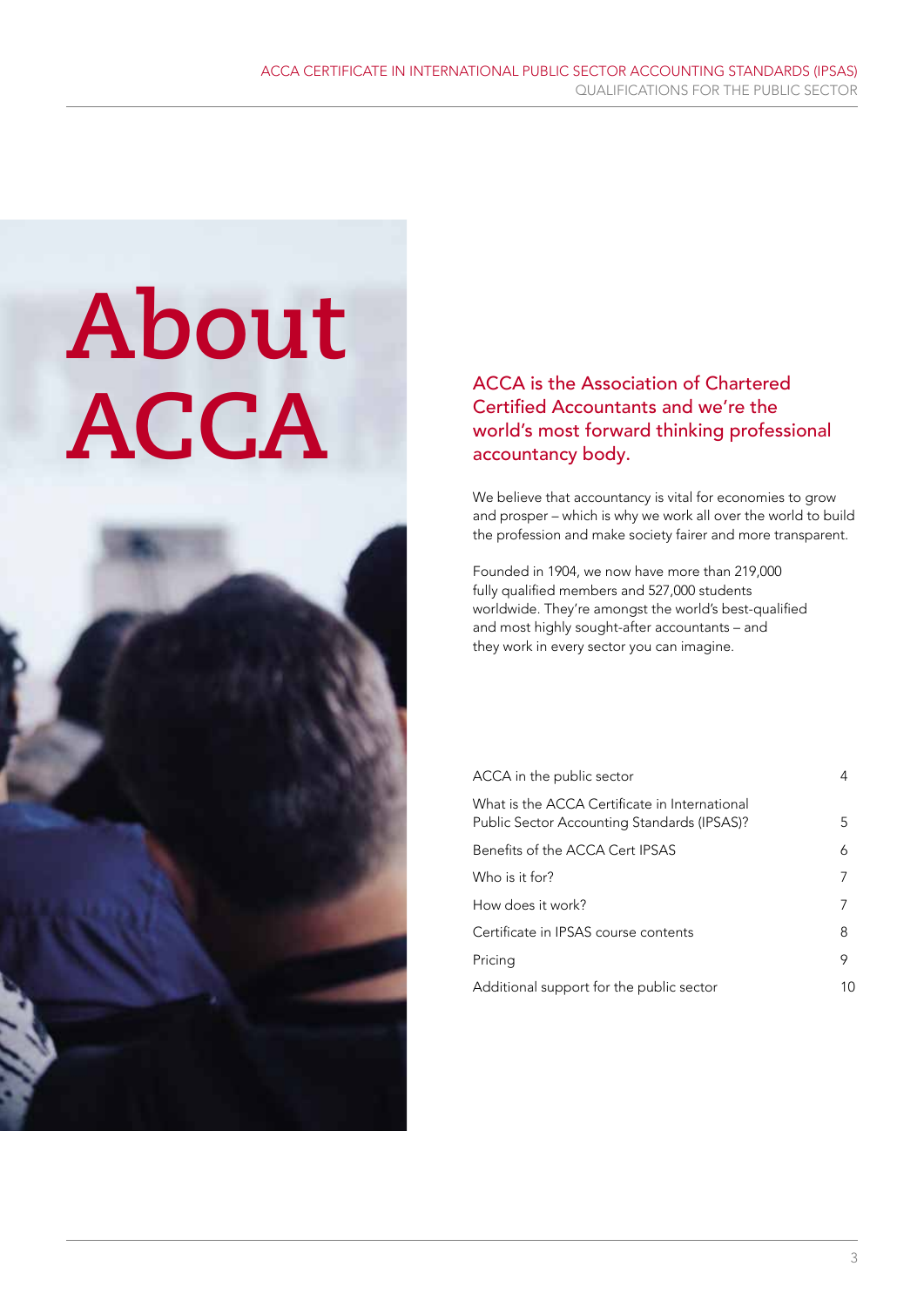# **About ACCA**



#### ACCA is the Association of Chartered Certified Accountants and we're the world's most forward thinking professional accountancy body.

We believe that accountancy is vital for economies to grow and prosper – which is why we work all over the world to build the profession and make society fairer and more transparent.

Founded in 1904, we now have more than 219,000 fully qualified members and 527,000 students worldwide. They're amongst the world's best-qualified and most highly sought-after accountants – and they work in every sector you can imagine.

#### ACCA in the public sector 4 What is the ACCA Certificate in International Public Sector Accounting Standards (IPSAS)? 5 Benefits of the ACCA Cert IPSAS 6 Who is it for? How does it work? 7 Certificate in IPSAS course contents 8 Pricing 9 Additional support for the public sector 10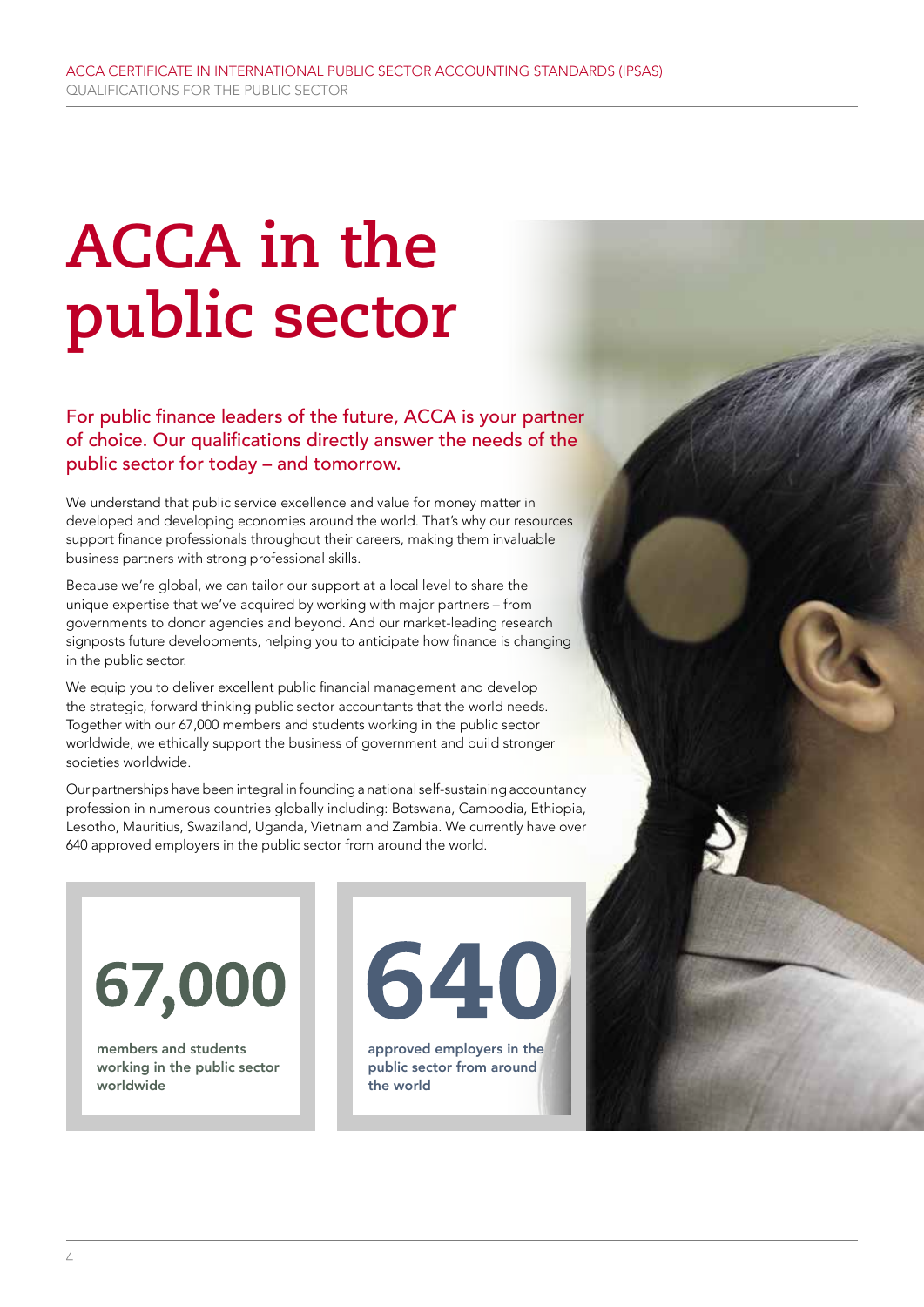## **ACCA in the public sector**

#### For public finance leaders of the future, ACCA is your partner of choice. Our qualifications directly answer the needs of the public sector for today – and tomorrow.

We understand that public service excellence and value for money matter in developed and developing economies around the world. That's why our resources support finance professionals throughout their careers, making them invaluable business partners with strong professional skills.

Because we're global, we can tailor our support at a local level to share the unique expertise that we've acquired by working with major partners – from governments to donor agencies and beyond. And our market-leading research signposts future developments, helping you to anticipate how finance is changing in the public sector.

We equip you to deliver excellent public financial management and develop the strategic, forward thinking public sector accountants that the world needs. Together with our 67,000 members and students working in the public sector worldwide, we ethically support the business of government and build stronger societies worldwide.

Our partnerships have been integral in founding a national self-sustaining accountancy profession in numerous countries globally including: Botswana, Cambodia, Ethiopia, Lesotho, Mauritius, Swaziland, Uganda, Vietnam and Zambia. We currently have over 640 approved employers in the public sector from around the world.

67,000

members and students working in the public sector worldwide

640

approved employers in the public sector from around the world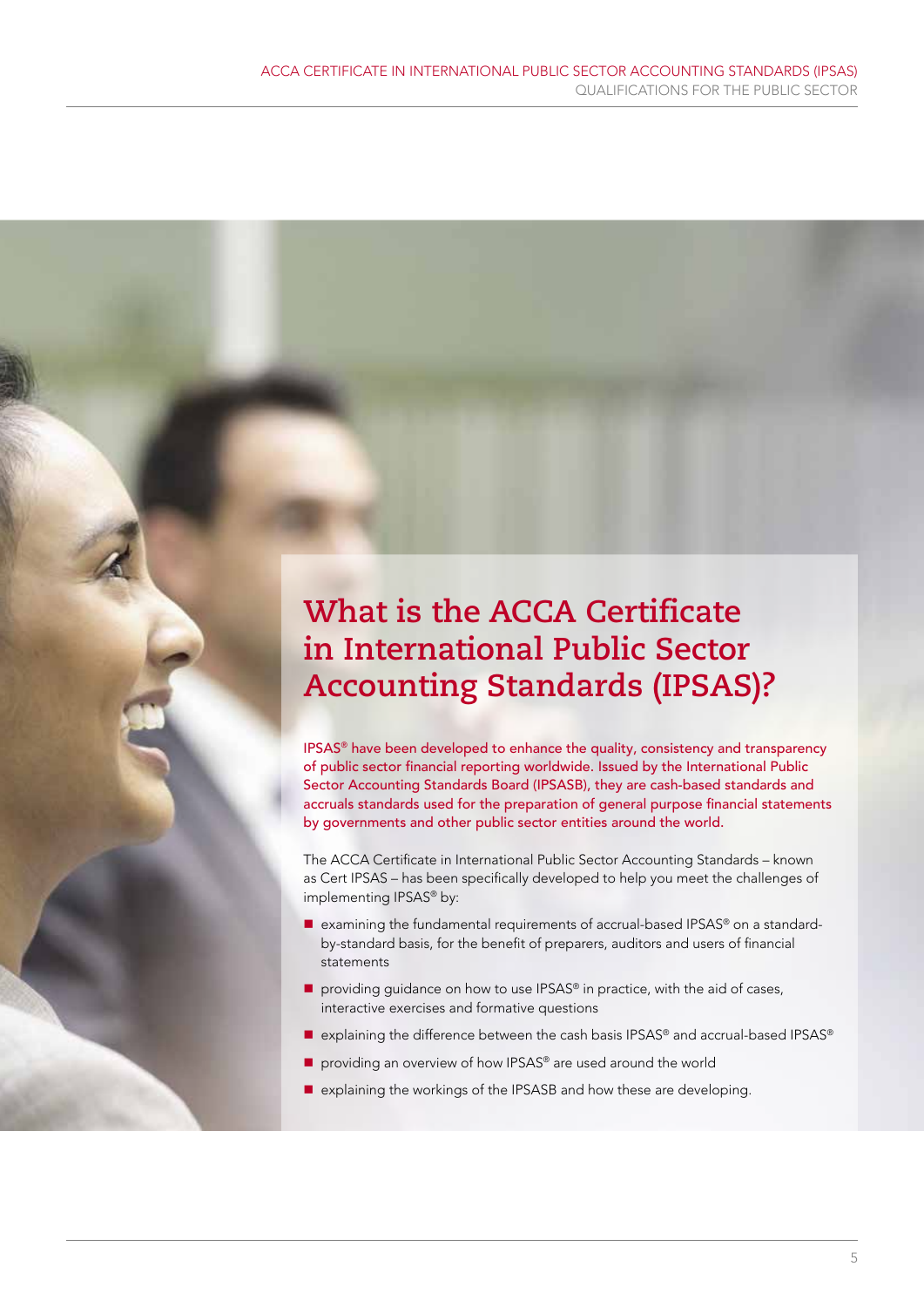### **What is the ACCA Certificate in International Public Sector Accounting Standards (IPSAS)?**

IPSAS® have been developed to enhance the quality, consistency and transparency of public sector financial reporting worldwide. Issued by the International Public Sector Accounting Standards Board (IPSASB), they are cash-based standards and accruals standards used for the preparation of general purpose financial statements by governments and other public sector entities around the world.

The ACCA Certificate in International Public Sector Accounting Standards – known as Cert IPSAS – has been specifically developed to help you meet the challenges of implementing IPSAS® by:

- examining the fundamental requirements of accrual-based IPSAS® on a standardby-standard basis, for the benefit of preparers, auditors and users of financial statements
- providing guidance on how to use IPSAS<sup>®</sup> in practice, with the aid of cases, interactive exercises and formative questions
- explaining the difference between the cash basis IPSAS® and accrual-based IPSAS®
- providing an overview of how IPSAS<sup>®</sup> are used around the world
- explaining the workings of the IPSASB and how these are developing.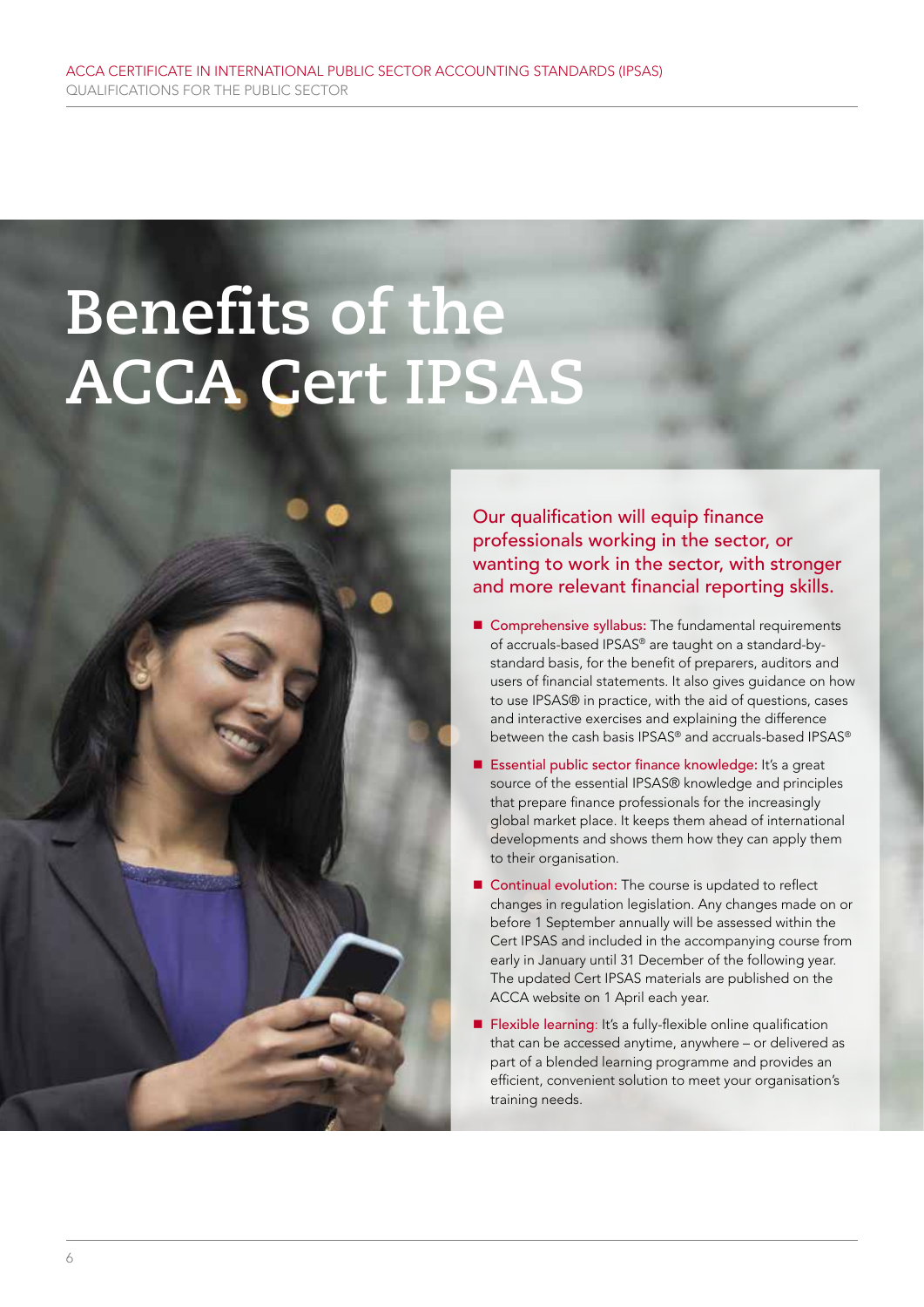## **Benefits of the ACCA Cert IPSAS**



Our qualification will equip finance professionals working in the sector, or wanting to work in the sector, with stronger and more relevant financial reporting skills.

- Comprehensive syllabus: The fundamental requirements of accruals-based IPSAS® are taught on a standard-bystandard basis, for the benefit of preparers, auditors and users of financial statements. It also gives guidance on how to use IPSAS® in practice, with the aid of questions, cases and interactive exercises and explaining the difference between the cash basis IPSAS® and accruals-based IPSAS®
- Essential public sector finance knowledge: It's a great source of the essential IPSAS® knowledge and principles that prepare finance professionals for the increasingly global market place. It keeps them ahead of international developments and shows them how they can apply them to their organisation.
- Continual evolution: The course is updated to reflect changes in regulation legislation. Any changes made on or before 1 September annually will be assessed within the Cert IPSAS and included in the accompanying course from early in January until 31 December of the following year. The updated Cert IPSAS materials are published on the ACCA website on 1 April each year.
- Flexible learning: It's a fully-flexible online qualification that can be accessed anytime, anywhere – or delivered as part of a blended learning programme and provides an efficient, convenient solution to meet your organisation's training needs.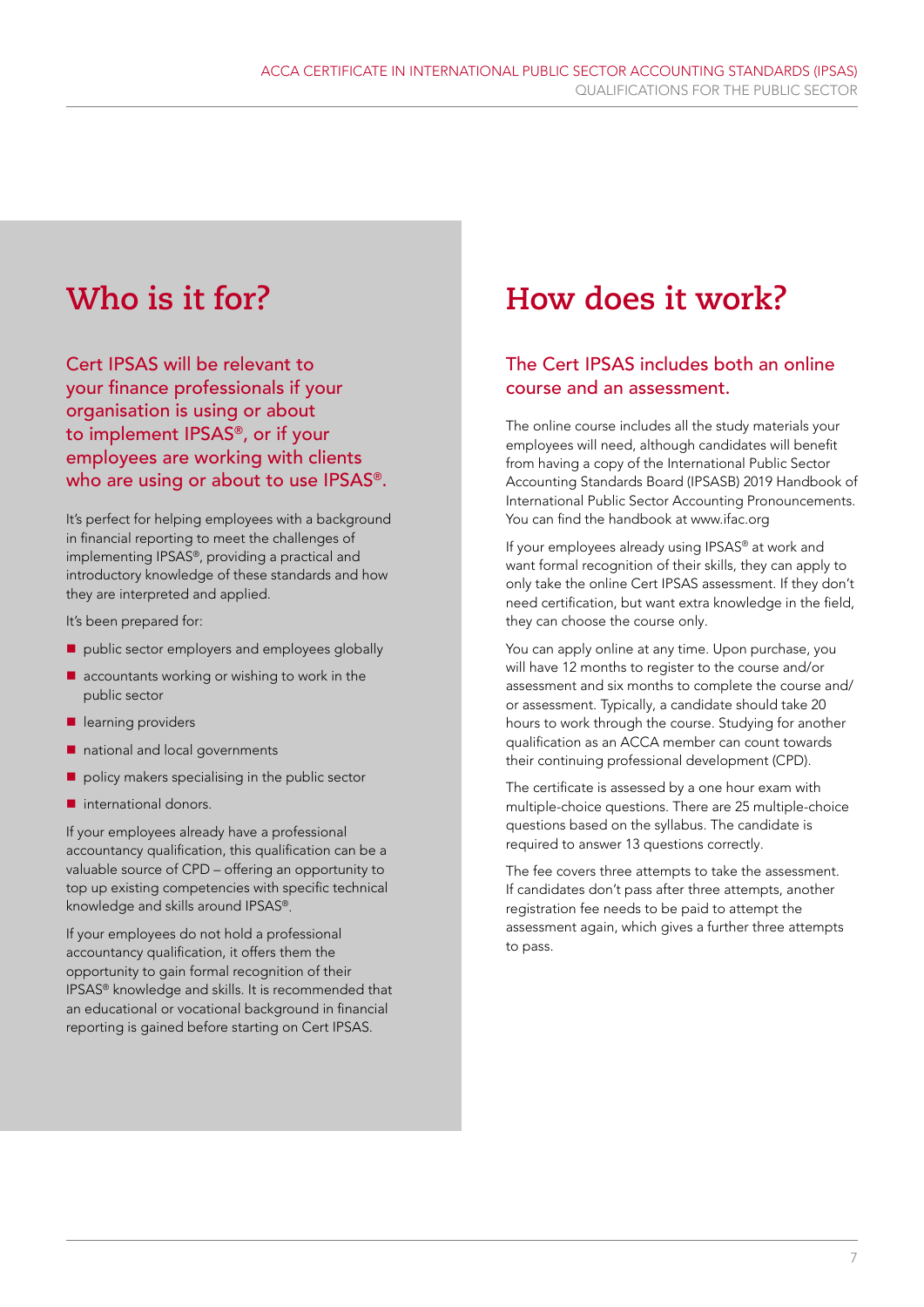### **Who is it for?**

Cert IPSAS will be relevant to your finance professionals if your organisation is using or about to implement IPSAS®, or if your employees are working with clients who are using or about to use IPSAS®.

It's perfect for helping employees with a background in financial reporting to meet the challenges of implementing IPSAS®, providing a practical and introductory knowledge of these standards and how they are interpreted and applied.

It's been prepared for:

- public sector employers and employees globally
- $\blacksquare$  accountants working or wishing to work in the public sector
- **L** learning providers
- national and local governments
- $\blacksquare$  policy makers specialising in the public sector
- **n** international donors.

If your employees already have a professional accountancy qualification, this qualification can be a valuable source of CPD – offering an opportunity to top up existing competencies with specific technical knowledge and skills around IPSAS®.

If your employees do not hold a professional accountancy qualification, it offers them the opportunity to gain formal recognition of their IPSAS® knowledge and skills. It is recommended that an educational or vocational background in financial reporting is gained before starting on Cert IPSAS.

### **How does it work?**

#### The Cert IPSAS includes both an online course and an assessment.

The online course includes all the study materials your employees will need, although candidates will benefit from having a copy of the International Public Sector Accounting Standards Board (IPSASB) 2019 Handbook of International Public Sector Accounting Pronouncements. You can find the handbook at www.ifac.org

If your employees already using IPSAS® at work and want formal recognition of their skills, they can apply to only take the online Cert IPSAS assessment. If they don't need certification, but want extra knowledge in the field, they can choose the course only.

You can apply online at any time. Upon purchase, you will have 12 months to register to the course and/or assessment and six months to complete the course and/ or assessment. Typically, a candidate should take 20 hours to work through the course. Studying for another qualification as an ACCA member can count towards their continuing professional development (CPD).

The certificate is assessed by a one hour exam with multiple-choice questions. There are 25 multiple-choice questions based on the syllabus. The candidate is required to answer 13 questions correctly.

The fee covers three attempts to take the assessment. If candidates don't pass after three attempts, another registration fee needs to be paid to attempt the assessment again, which gives a further three attempts to pass.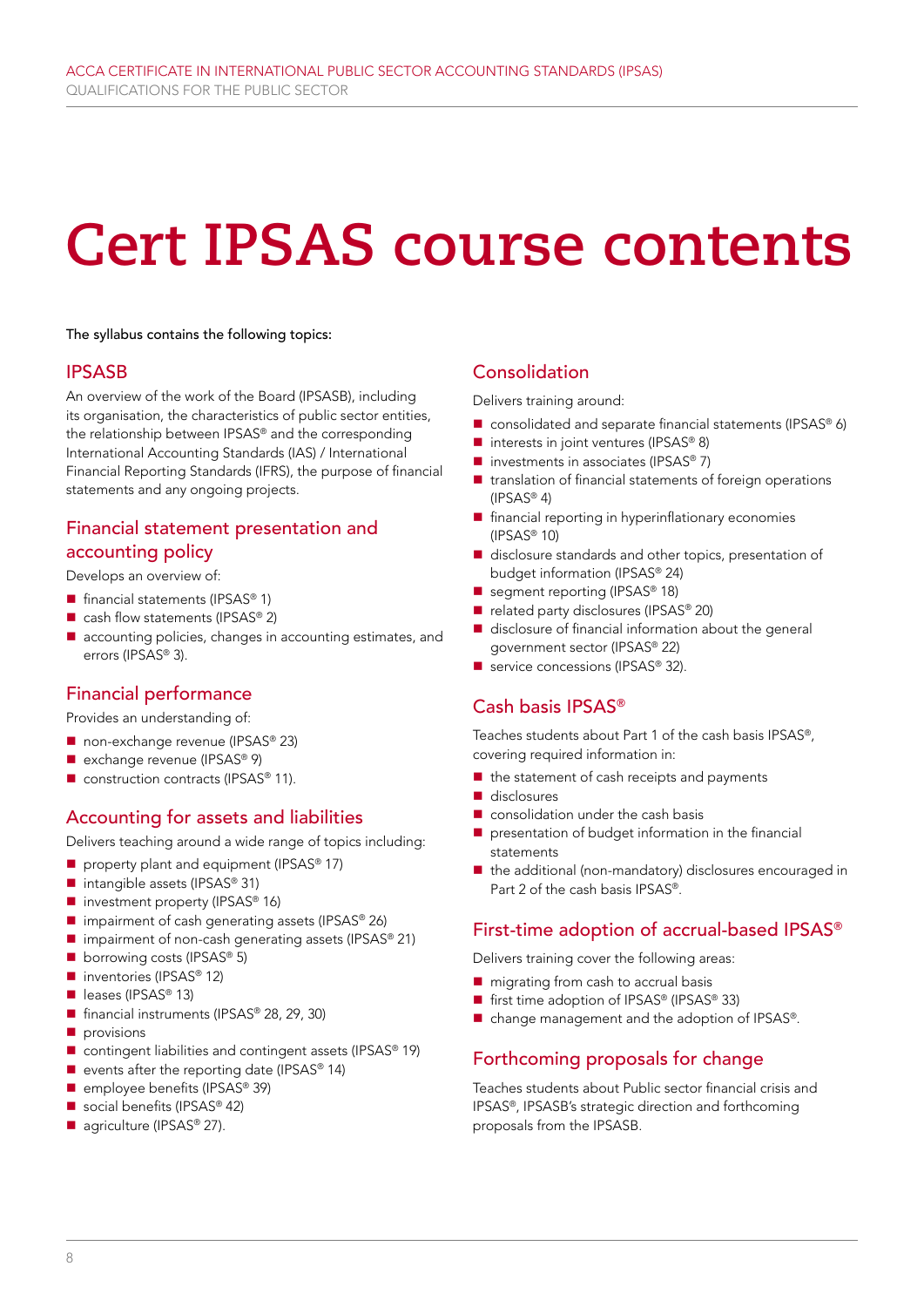### **Cert IPSAS course contents**

#### The syllabus contains the following topics:

#### IPSASB

An overview of the work of the Board (IPSASB), including its organisation, the characteristics of public sector entities, the relationship between IPSAS® and the corresponding International Accounting Standards (IAS) / International Financial Reporting Standards (IFRS), the purpose of financial statements and any ongoing projects.

#### Financial statement presentation and accounting policy

Develops an overview of:

- $\blacksquare$  financial statements (IPSAS<sup>®</sup> 1)
- $\blacksquare$  cash flow statements (IPSAS® 2)
- accounting policies, changes in accounting estimates, and errors (IPSAS® 3).

#### Financial performance

Provides an understanding of:

- non-exchange revenue (IPSAS® 23)
- exchange revenue (IPSAS® 9)
- construction contracts (IPSAS<sup>®</sup> 11).

#### Accounting for assets and liabilities

Delivers teaching around a wide range of topics including:

- **P** property plant and equipment (IPSAS® 17)
- $\blacksquare$  intangible assets (IPSAS® 31)
- $\blacksquare$  investment property (IPSAS® 16)
- impairment of cash generating assets (IPSAS® 26)
- $\blacksquare$  impairment of non-cash generating assets (IPSAS® 21)
- borrowing costs (IPSAS<sup>®</sup> 5)
- $\blacksquare$  inventories (IPSAS<sup>®</sup> 12)
- leases (IPSAS<sup>®</sup> 13)
- financial instruments (IPSAS® 28, 29, 30)
- $\blacksquare$  provisions
- contingent liabilities and contingent assets (IPSAS<sup>®</sup> 19)
- events after the reporting date (IPSAS<sup>®</sup> 14)
- $\blacksquare$  employee benefits (IPSAS® 39)
- social benefits (IPSAS® 42)
- agriculture (IPSAS® 27).

#### Consolidation

Delivers training around:

- consolidated and separate financial statements (IPSAS® 6)
- $\blacksquare$  interests in joint ventures (IPSAS® 8)
- $\blacksquare$  investments in associates (IPSAS® 7)
- $\blacksquare$  translation of financial statements of foreign operations  $(IPSAS<sup>®</sup> 4)$
- $\blacksquare$  financial reporting in hyperinflationary economies (IPSAS® 10)
- disclosure standards and other topics, presentation of budget information (IPSAS® 24)
- segment reporting (IPSAS<sup>®</sup> 18)
- related party disclosures (IPSAS® 20)
- disclosure of financial information about the general government sector (IPSAS® 22)
- service concessions (IPSAS® 32).

#### Cash basis IPSAS®

Teaches students about Part 1 of the cash basis IPSAS®, covering required information in:

- $\blacksquare$  the statement of cash receipts and payments
- disclosures
- $\Box$  consolidation under the cash basis
- **P** presentation of budget information in the financial statements
- $\blacksquare$  the additional (non-mandatory) disclosures encouraged in Part 2 of the cash basis IPSAS®.

#### First-time adoption of accrual-based IPSAS®

Delivers training cover the following areas:

- $\blacksquare$  migrating from cash to accrual basis
- first time adoption of IPSAS® (IPSAS® 33)
- change management and the adoption of IPSAS®.

#### Forthcoming proposals for change

Teaches students about Public sector financial crisis and IPSAS®, IPSASB's strategic direction and forthcoming proposals from the IPSASB.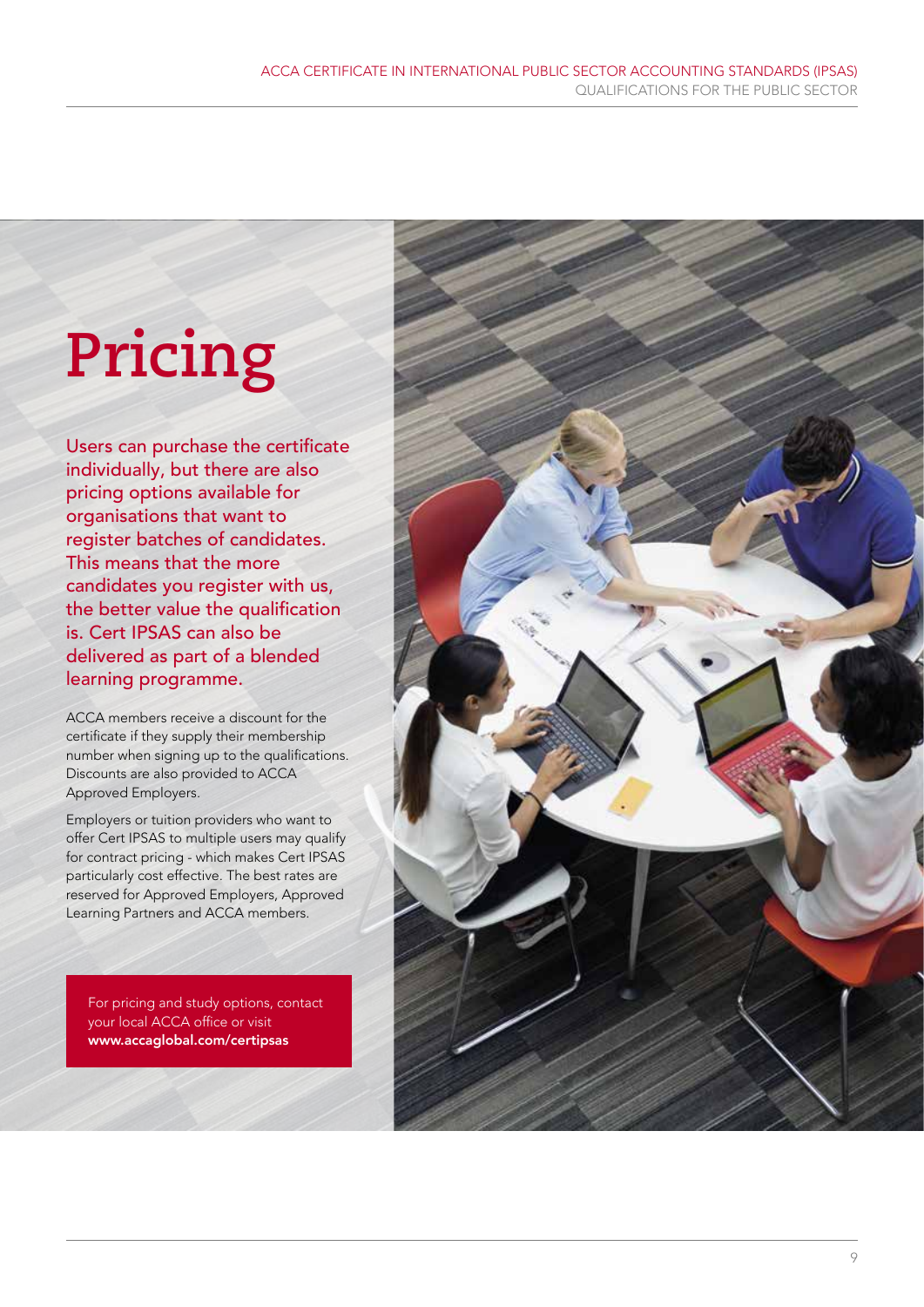## **Pricing**

Users can purchase the certificate individually, but there are also pricing options available for organisations that want to register batches of candidates. This means that the more candidates you register with us, the better value the qualification is. Cert IPSAS can also be delivered as part of a blended learning programme.

ACCA members receive a discount for the certificate if they supply their membership number when signing up to the qualifications. Discounts are also provided to ACCA Approved Employers.

Employers or tuition providers who want to offer Cert IPSAS to multiple users may qualify for contract pricing - which makes Cert IPSAS particularly cost effective. The best rates are reserved for Approved Employers, Approved Learning Partners and ACCA members.

For pricing and study options, contact your local ACCA office or visit www.accaglobal.com/certipsas

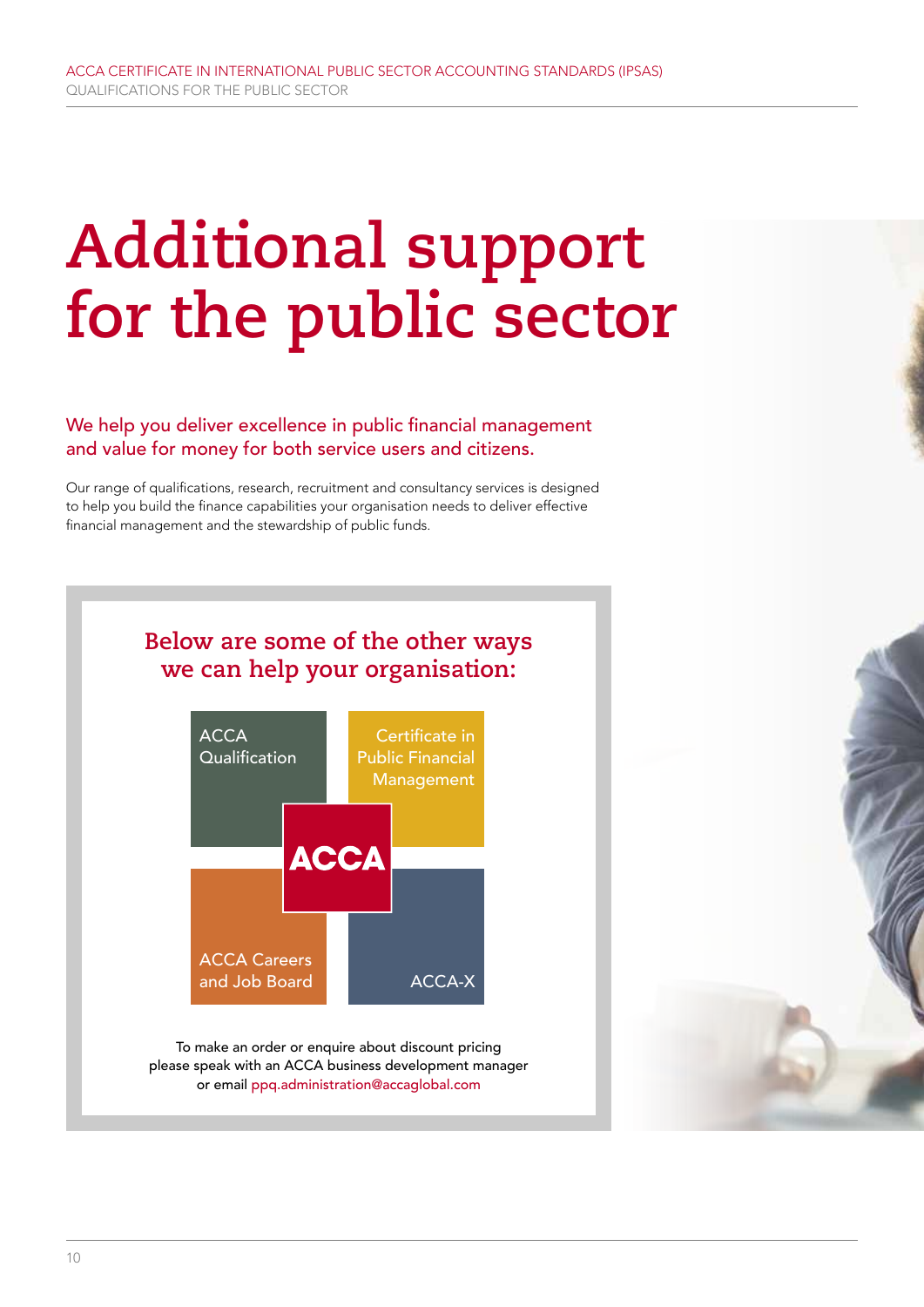## **Additional support for the public sector**

#### We help you deliver excellence in public financial management and value for money for both service users and citizens.

Our range of qualifications, research, recruitment and consultancy services is designed to help you build the finance capabilities your organisation needs to deliver effective financial management and the stewardship of public funds.





To make an order or enquire about discount pricing please speak with an ACCA business development manager or email ppq.administration@accaglobal.com

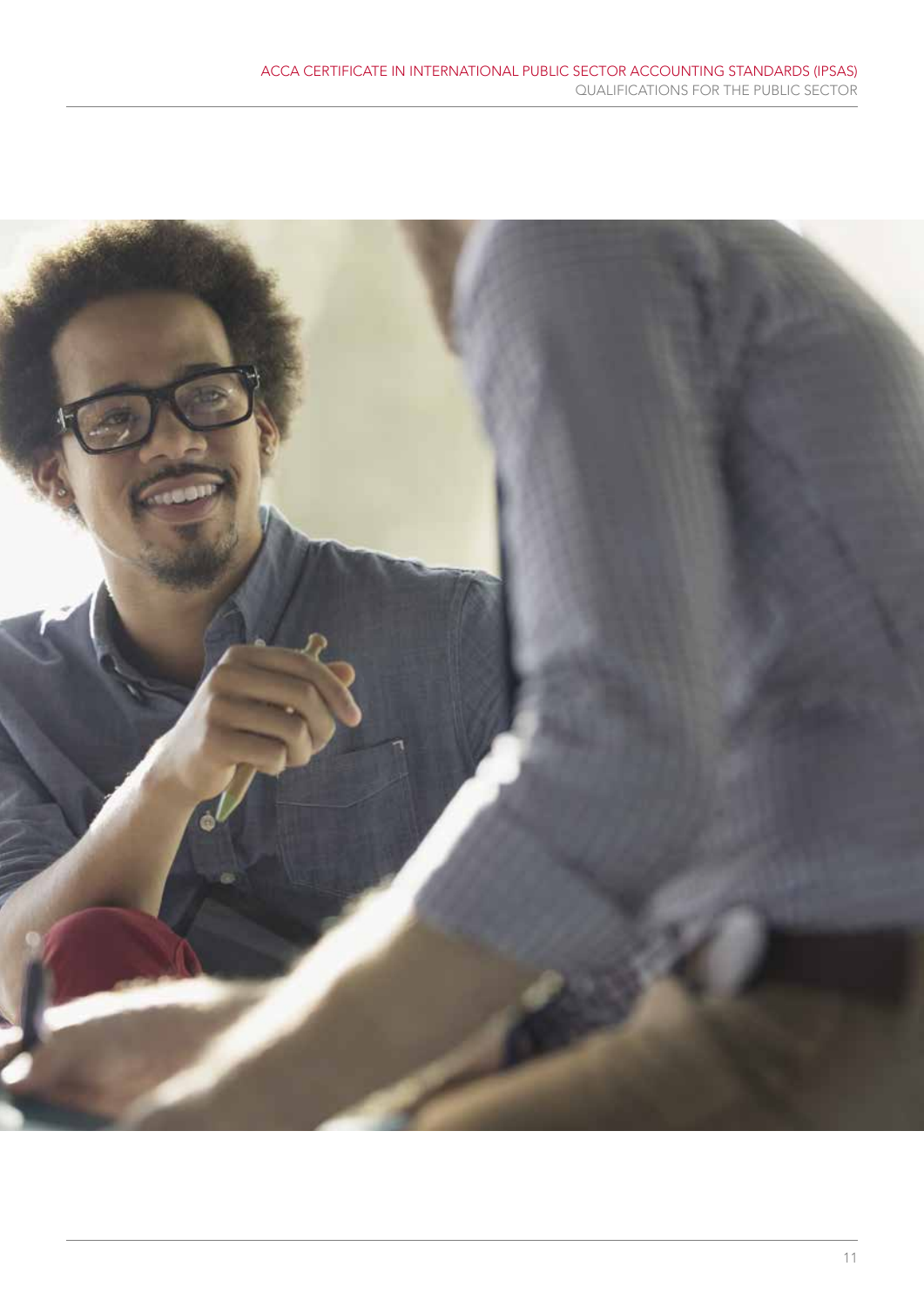